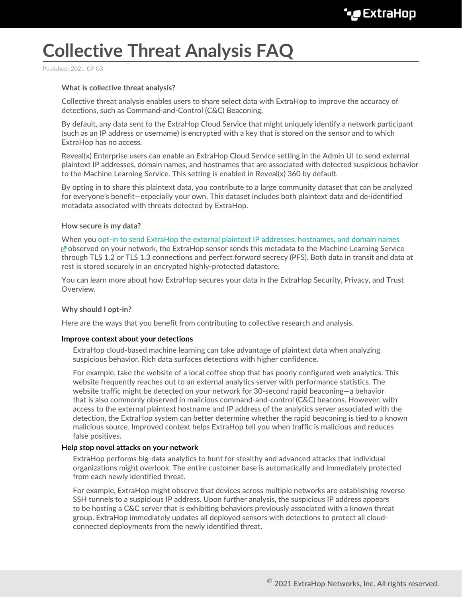# **Collective Threat Analysis FAQ**

Published: 2021-09-03

### **What is collective threat analysis?**

Collective threat analysis enables users to share select data with ExtraHop to improve the accuracy of detections, such as Command-and-Control (C&C) Beaconing.

By default, any data sent to the ExtraHop Cloud Service that might uniquely identify a network participant (such as an IP address or username) is encrypted with a key that is stored on the sensor and to which ExtraHop has no access.

Reveal(x) Enterprise users can enable an ExtraHop Cloud Service setting in the Admin UI to send external plaintext IP addresses, domain names, and hostnames that are associated with detected suspicious behavior to the Machine Learning Service. This setting is enabled in Reveal(x) 360 by default.

By opting in to share this plaintext data, you contribute to a large community dataset that can be analyzed for everyone's benefit—especially your own. This dataset includes both plaintext data and de-identified metadata associated with threats detected by ExtraHop.

#### **How secure is my data?**

When you [opt-in to send ExtraHop the external plaintext IP addresses, hostnames, and domain names](https://docs.extrahop.com/8.5/eh-cloud-services) observed on your network, the ExtraHop sensor sends this metadata to the Machine Learning Service through TLS 1.2 or TLS 1.3 connections and perfect forward secrecy (PFS). Both data in transit and data at rest is stored securely in an encrypted highly-protected datastore.

You can learn more about how ExtraHop secures your data in the ExtraHop Security, Privacy, and Trust Overview.

#### **Why should I opt-in?**

Here are the ways that you benefit from contributing to collective research and analysis.

#### **Improve context about your detections**

ExtraHop cloud-based machine learning can take advantage of plaintext data when analyzing suspicious behavior. Rich data surfaces detections with higher confidence.

For example, take the website of a local coffee shop that has poorly configured web analytics. This website frequently reaches out to an external analytics server with performance statistics. The website traffic might be detected on your network for 30-second rapid beaconing—a behavior that is also commonly observed in malicious command-and-control (C&C) beacons. However, with access to the external plaintext hostname and IP address of the analytics server associated with the detection, the ExtraHop system can better determine whether the rapid beaconing is tied to a known malicious source. Improved context helps ExtraHop tell you when traffic is malicious and reduces false positives.

#### **Help stop novel attacks on your network**

ExtraHop performs big-data analytics to hunt for stealthy and advanced attacks that individual organizations might overlook. The entire customer base is automatically and immediately protected from each newly identified threat.

For example, ExtraHop might observe that devices across multiple networks are establishing reverse SSH tunnels to a suspicious IP address. Upon further analysis, the suspicious IP address appears to be hosting a C&C server that is exhibiting behaviors previously associated with a known threat group. ExtraHop immediately updates all deployed sensors with detections to protect all cloudconnected deployments from the newly identified threat.